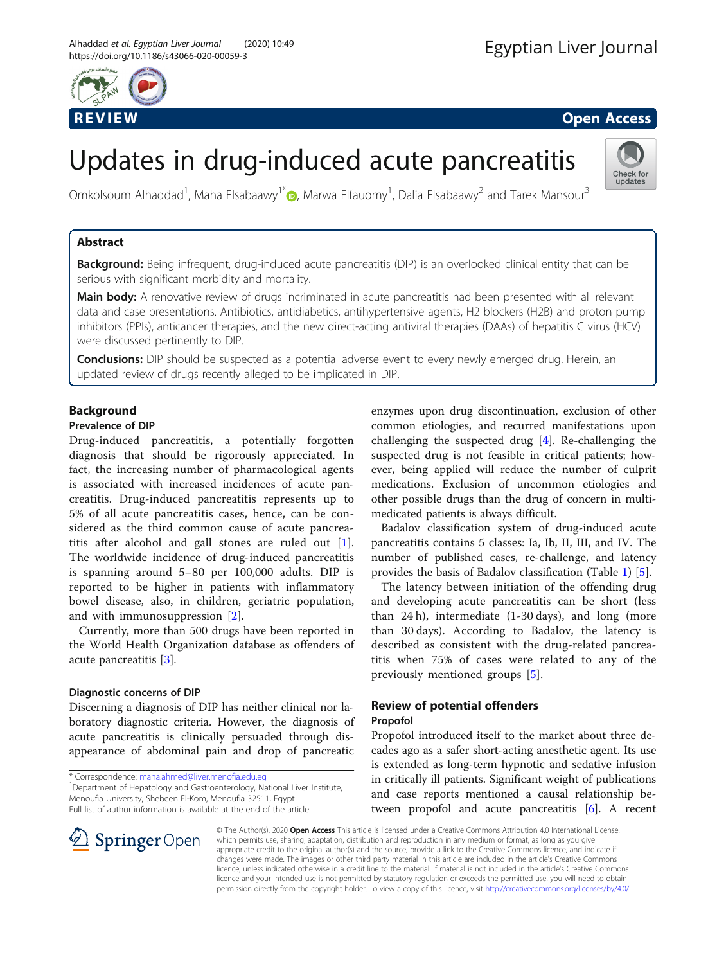

Check for updates

# Updates in drug-induced acute pancreatitis

Omkolsoum Alhaddad<sup>1</sup>[,](http://orcid.org/0000-0002-3110-1547) Maha Elsabaawy<sup>1\*</sup>�, Marwa Elfauomy<sup>1</sup>, Dalia Elsabaawy<sup>2</sup> and Tarek Mansour<sup>3</sup>

#### Abstract

Background: Being infrequent, drug-induced acute pancreatitis (DIP) is an overlooked clinical entity that can be serious with significant morbidity and mortality.

Main body: A renovative review of drugs incriminated in acute pancreatitis had been presented with all relevant data and case presentations. Antibiotics, antidiabetics, antihypertensive agents, H2 blockers (H2B) and proton pump inhibitors (PPIs), anticancer therapies, and the new direct-acting antiviral therapies (DAAs) of hepatitis C virus (HCV) were discussed pertinently to DIP.

**Conclusions:** DIP should be suspected as a potential adverse event to every newly emerged drug. Herein, an updated review of drugs recently alleged to be implicated in DIP.

#### Background

#### Prevalence of DIP

Drug-induced pancreatitis, a potentially forgotten diagnosis that should be rigorously appreciated. In fact, the increasing number of pharmacological agents is associated with increased incidences of acute pancreatitis. Drug-induced pancreatitis represents up to 5% of all acute pancreatitis cases, hence, can be considered as the third common cause of acute pancreatitis after alcohol and gall stones are ruled out  $[1]$  $[1]$ . The worldwide incidence of drug-induced pancreatitis is spanning around 5–80 per 100,000 adults. DIP is reported to be higher in patients with inflammatory bowel disease, also, in children, geriatric population, and with immunosuppression [[2\]](#page-3-0).

Currently, more than 500 drugs have been reported in the World Health Organization database as offenders of acute pancreatitis [[3](#page-3-0)].

#### Diagnostic concerns of DIP

Discerning a diagnosis of DIP has neither clinical nor laboratory diagnostic criteria. However, the diagnosis of acute pancreatitis is clinically persuaded through disappearance of abdominal pain and drop of pancreatic

\* Correspondence: [maha.ahmed@liver.menofia.edu.eg](mailto:maha.ahmed@liver.menofia.edu.eg) <sup>1</sup>

<sup>1</sup> Department of Hepatology and Gastroenterology, National Liver Institute, Menoufia University, Shebeen El-Kom, Menoufia 32511, Egypt Full list of author information is available at the end of the article

enzymes upon drug discontinuation, exclusion of other common etiologies, and recurred manifestations upon challenging the suspected drug [\[4](#page-3-0)]. Re-challenging the suspected drug is not feasible in critical patients; however, being applied will reduce the number of culprit medications. Exclusion of uncommon etiologies and other possible drugs than the drug of concern in multimedicated patients is always difficult.

Badalov classification system of drug-induced acute pancreatitis contains 5 classes: Ia, Ib, II, III, and IV. The number of published cases, re-challenge, and latency provides the basis of Badalov classification (Table [1](#page-1-0)) [[5\]](#page-3-0).

The latency between initiation of the offending drug and developing acute pancreatitis can be short (less than 24 h), intermediate (1-30 days), and long (more than 30 days). According to Badalov, the latency is described as consistent with the drug-related pancreatitis when 75% of cases were related to any of the previously mentioned groups [\[5](#page-3-0)].

## Review of potential offenders

#### Propofol

Propofol introduced itself to the market about three decades ago as a safer short-acting anesthetic agent. Its use is extended as long-term hypnotic and sedative infusion in critically ill patients. Significant weight of publications and case reports mentioned a causal relationship be-tween propofol and acute pancreatitis [\[6\]](#page-3-0). A recent

© The Author(s). 2020 Open Access This article is licensed under a Creative Commons Attribution 4.0 International License, which permits use, sharing, adaptation, distribution and reproduction in any medium or format, as long as you give appropriate credit to the original author(s) and the source, provide a link to the Creative Commons licence, and indicate if changes were made. The images or other third party material in this article are included in the article's Creative Commons licence, unless indicated otherwise in a credit line to the material. If material is not included in the article's Creative Commons licence and your intended use is not permitted by statutory regulation or exceeds the permitted use, you will need to obtain permission directly from the copyright holder. To view a copy of this licence, visit <http://creativecommons.org/licenses/by/4.0/>.

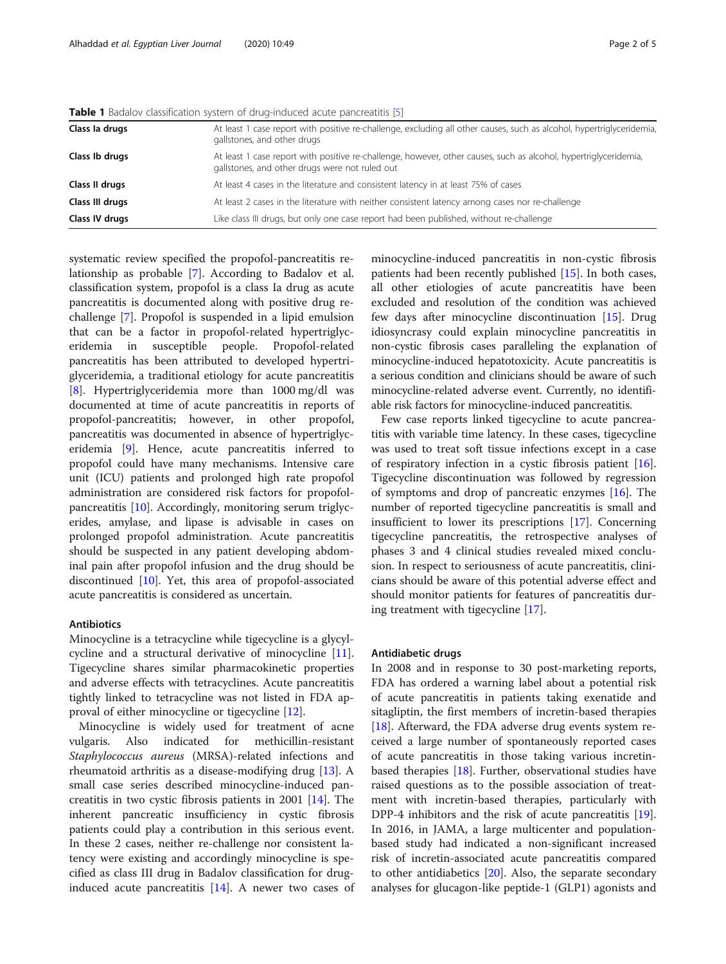| Class la drugs  | At least 1 case report with positive re-challenge, excluding all other causes, such as alcohol, hypertriglyceridemia<br>gallstones, and other drugs                |
|-----------------|--------------------------------------------------------------------------------------------------------------------------------------------------------------------|
| Class Ib drugs  | At least 1 case report with positive re-challenge, however, other causes, such as alcohol, hypertriglyceridemia,<br>gallstones, and other drugs were not ruled out |
| Class II drugs  | At least 4 cases in the literature and consistent latency in at least 75% of cases                                                                                 |
| Class III drugs | At least 2 cases in the literature with neither consistent latency among cases nor re-challenge                                                                    |
| Class IV drugs  | Like class III drugs, but only one case report had been published, without re-challenge                                                                            |

<span id="page-1-0"></span>**Table 1** Badalov classification system of drug-induced acute pancreatitis [[5\]](#page-3-0)

systematic review specified the propofol-pancreatitis relationship as probable [[7\]](#page-3-0). According to Badalov et al. classification system, propofol is a class Ia drug as acute pancreatitis is documented along with positive drug rechallenge [[7\]](#page-3-0). Propofol is suspended in a lipid emulsion that can be a factor in propofol-related hypertriglyceridemia in susceptible people. Propofol-related pancreatitis has been attributed to developed hypertriglyceridemia, a traditional etiology for acute pancreatitis [[8\]](#page-3-0). Hypertriglyceridemia more than 1000 mg/dl was documented at time of acute pancreatitis in reports of propofol-pancreatitis; however, in other propofol, pancreatitis was documented in absence of hypertriglyceridemia [\[9](#page-3-0)]. Hence, acute pancreatitis inferred to propofol could have many mechanisms. Intensive care unit (ICU) patients and prolonged high rate propofol administration are considered risk factors for propofolpancreatitis [\[10](#page-3-0)]. Accordingly, monitoring serum triglycerides, amylase, and lipase is advisable in cases on prolonged propofol administration. Acute pancreatitis should be suspected in any patient developing abdominal pain after propofol infusion and the drug should be discontinued [\[10\]](#page-3-0). Yet, this area of propofol-associated acute pancreatitis is considered as uncertain.

#### Antibiotics

Minocycline is a tetracycline while tigecycline is a glycylcycline and a structural derivative of minocycline [\[11](#page-3-0)]. Tigecycline shares similar pharmacokinetic properties and adverse effects with tetracyclines. Acute pancreatitis tightly linked to tetracycline was not listed in FDA approval of either minocycline or tigecycline [[12](#page-3-0)].

Minocycline is widely used for treatment of acne vulgaris. Also indicated for methicillin-resistant Staphylococcus aureus (MRSA)-related infections and rheumatoid arthritis as a disease-modifying drug [[13\]](#page-3-0). A small case series described minocycline-induced pancreatitis in two cystic fibrosis patients in 2001 [[14](#page-3-0)]. The inherent pancreatic insufficiency in cystic fibrosis patients could play a contribution in this serious event. In these 2 cases, neither re-challenge nor consistent latency were existing and accordingly minocycline is specified as class III drug in Badalov classification for druginduced acute pancreatitis  $[14]$  $[14]$  $[14]$ . A newer two cases of

minocycline-induced pancreatitis in non-cystic fibrosis patients had been recently published [[15\]](#page-3-0). In both cases, all other etiologies of acute pancreatitis have been excluded and resolution of the condition was achieved few days after minocycline discontinuation [\[15](#page-3-0)]. Drug idiosyncrasy could explain minocycline pancreatitis in non-cystic fibrosis cases paralleling the explanation of minocycline-induced hepatotoxicity. Acute pancreatitis is a serious condition and clinicians should be aware of such minocycline-related adverse event. Currently, no identifiable risk factors for minocycline-induced pancreatitis.

Few case reports linked tigecycline to acute pancreatitis with variable time latency. In these cases, tigecycline was used to treat soft tissue infections except in a case of respiratory infection in a cystic fibrosis patient [\[16](#page-4-0)]. Tigecycline discontinuation was followed by regression of symptoms and drop of pancreatic enzymes [\[16](#page-4-0)]. The number of reported tigecycline pancreatitis is small and insufficient to lower its prescriptions [[17\]](#page-4-0). Concerning tigecycline pancreatitis, the retrospective analyses of phases 3 and 4 clinical studies revealed mixed conclusion. In respect to seriousness of acute pancreatitis, clinicians should be aware of this potential adverse effect and should monitor patients for features of pancreatitis during treatment with tigecycline [\[17\]](#page-4-0).

#### Antidiabetic drugs

In 2008 and in response to 30 post-marketing reports, FDA has ordered a warning label about a potential risk of acute pancreatitis in patients taking exenatide and sitagliptin, the first members of incretin-based therapies [[18\]](#page-4-0). Afterward, the FDA adverse drug events system received a large number of spontaneously reported cases of acute pancreatitis in those taking various incretinbased therapies [\[18\]](#page-4-0). Further, observational studies have raised questions as to the possible association of treatment with incretin-based therapies, particularly with DPP-4 inhibitors and the risk of acute pancreatitis [\[19](#page-4-0)]. In 2016, in JAMA, a large multicenter and populationbased study had indicated a non-significant increased risk of incretin-associated acute pancreatitis compared to other antidiabetics [\[20](#page-4-0)]. Also, the separate secondary analyses for glucagon-like peptide-1 (GLP1) agonists and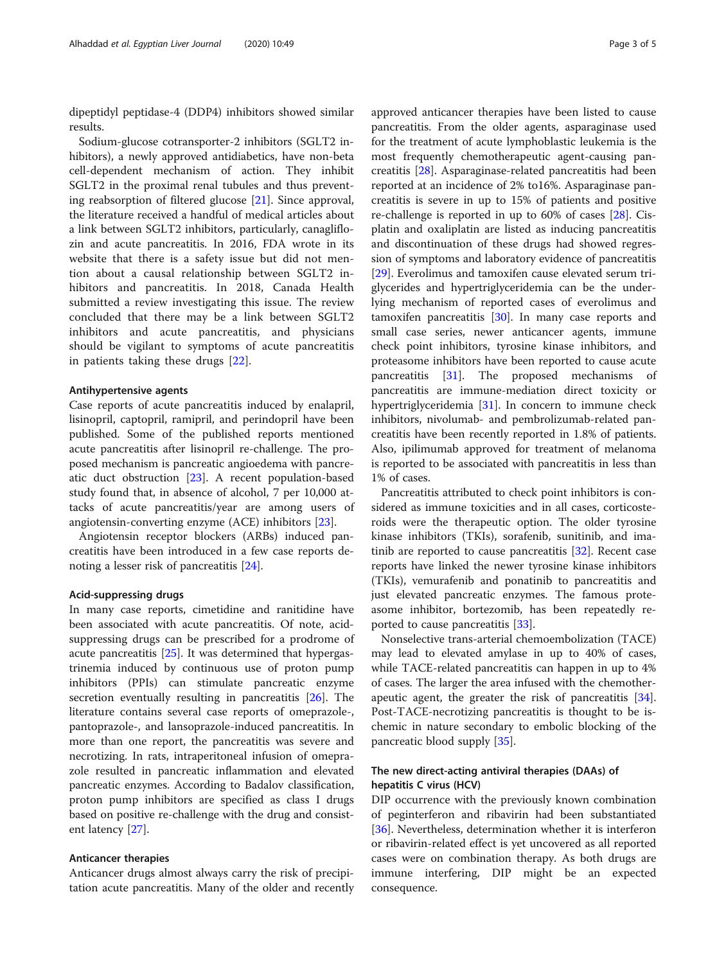dipeptidyl peptidase-4 (DDP4) inhibitors showed similar results.

Sodium-glucose cotransporter-2 inhibitors (SGLT2 inhibitors), a newly approved antidiabetics, have non-beta cell-dependent mechanism of action. They inhibit SGLT2 in the proximal renal tubules and thus preventing reabsorption of filtered glucose [\[21](#page-4-0)]. Since approval, the literature received a handful of medical articles about a link between SGLT2 inhibitors, particularly, canagliflozin and acute pancreatitis. In 2016, FDA wrote in its website that there is a safety issue but did not mention about a causal relationship between SGLT2 inhibitors and pancreatitis. In 2018, Canada Health submitted a review investigating this issue. The review concluded that there may be a link between SGLT2 inhibitors and acute pancreatitis, and physicians should be vigilant to symptoms of acute pancreatitis in patients taking these drugs [[22\]](#page-4-0).

#### Antihypertensive agents

Case reports of acute pancreatitis induced by enalapril, lisinopril, captopril, ramipril, and perindopril have been published. Some of the published reports mentioned acute pancreatitis after lisinopril re-challenge. The proposed mechanism is pancreatic angioedema with pancreatic duct obstruction [[23\]](#page-4-0). A recent population-based study found that, in absence of alcohol, 7 per 10,000 attacks of acute pancreatitis/year are among users of angiotensin-converting enzyme (ACE) inhibitors [\[23](#page-4-0)].

Angiotensin receptor blockers (ARBs) induced pancreatitis have been introduced in a few case reports denoting a lesser risk of pancreatitis [[24\]](#page-4-0).

#### Acid-suppressing drugs

In many case reports, cimetidine and ranitidine have been associated with acute pancreatitis. Of note, acidsuppressing drugs can be prescribed for a prodrome of acute pancreatitis [\[25](#page-4-0)]. It was determined that hypergastrinemia induced by continuous use of proton pump inhibitors (PPIs) can stimulate pancreatic enzyme secretion eventually resulting in pancreatitis [\[26\]](#page-4-0). The literature contains several case reports of omeprazole-, pantoprazole-, and lansoprazole-induced pancreatitis. In more than one report, the pancreatitis was severe and necrotizing. In rats, intraperitoneal infusion of omeprazole resulted in pancreatic inflammation and elevated pancreatic enzymes. According to Badalov classification, proton pump inhibitors are specified as class I drugs based on positive re-challenge with the drug and consistent latency [\[27](#page-4-0)].

#### Anticancer therapies

Anticancer drugs almost always carry the risk of precipitation acute pancreatitis. Many of the older and recently

approved anticancer therapies have been listed to cause pancreatitis. From the older agents, asparaginase used for the treatment of acute lymphoblastic leukemia is the most frequently chemotherapeutic agent-causing pancreatitis [\[28](#page-4-0)]. Asparaginase-related pancreatitis had been reported at an incidence of 2% to16%. Asparaginase pancreatitis is severe in up to 15% of patients and positive re-challenge is reported in up to 60% of cases [\[28](#page-4-0)]. Cisplatin and oxaliplatin are listed as inducing pancreatitis and discontinuation of these drugs had showed regression of symptoms and laboratory evidence of pancreatitis [[29\]](#page-4-0). Everolimus and tamoxifen cause elevated serum triglycerides and hypertriglyceridemia can be the underlying mechanism of reported cases of everolimus and tamoxifen pancreatitis  $[30]$ . In many case reports and small case series, newer anticancer agents, immune check point inhibitors, tyrosine kinase inhibitors, and proteasome inhibitors have been reported to cause acute pancreatitis [\[31](#page-4-0)]. The proposed mechanisms of pancreatitis are immune-mediation direct toxicity or hypertriglyceridemia [[31\]](#page-4-0). In concern to immune check inhibitors, nivolumab- and pembrolizumab-related pancreatitis have been recently reported in 1.8% of patients. Also, ipilimumab approved for treatment of melanoma is reported to be associated with pancreatitis in less than 1% of cases.

Pancreatitis attributed to check point inhibitors is considered as immune toxicities and in all cases, corticosteroids were the therapeutic option. The older tyrosine kinase inhibitors (TKIs), sorafenib, sunitinib, and imatinib are reported to cause pancreatitis [[32\]](#page-4-0). Recent case reports have linked the newer tyrosine kinase inhibitors (TKIs), vemurafenib and ponatinib to pancreatitis and just elevated pancreatic enzymes. The famous proteasome inhibitor, bortezomib, has been repeatedly reported to cause pancreatitis [\[33\]](#page-4-0).

Nonselective trans-arterial chemoembolization (TACE) may lead to elevated amylase in up to 40% of cases, while TACE-related pancreatitis can happen in up to 4% of cases. The larger the area infused with the chemotherapeutic agent, the greater the risk of pancreatitis [\[34](#page-4-0)]. Post-TACE-necrotizing pancreatitis is thought to be ischemic in nature secondary to embolic blocking of the pancreatic blood supply [\[35](#page-4-0)].

#### The new direct-acting antiviral therapies (DAAs) of hepatitis C virus (HCV)

DIP occurrence with the previously known combination of peginterferon and ribavirin had been substantiated [[36\]](#page-4-0). Nevertheless, determination whether it is interferon or ribavirin-related effect is yet uncovered as all reported cases were on combination therapy. As both drugs are immune interfering, DIP might be an expected consequence.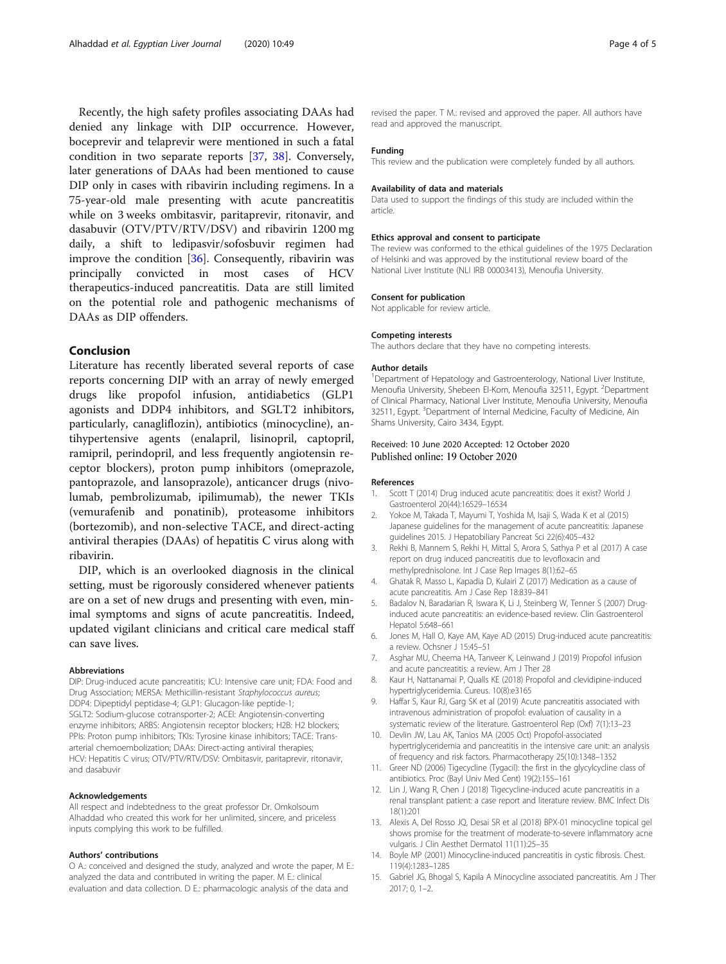<span id="page-3-0"></span>Recently, the high safety profiles associating DAAs had denied any linkage with DIP occurrence. However, boceprevir and telaprevir were mentioned in such a fatal condition in two separate reports [\[37](#page-4-0), [38\]](#page-4-0). Conversely, later generations of DAAs had been mentioned to cause DIP only in cases with ribavirin including regimens. In a 75-year-old male presenting with acute pancreatitis while on 3 weeks ombitasvir, paritaprevir, ritonavir, and dasabuvir (OTV/PTV/RTV/DSV) and ribavirin 1200 mg daily, a shift to ledipasvir/sofosbuvir regimen had improve the condition [[36](#page-4-0)]. Consequently, ribavirin was principally convicted in most cases of HCV therapeutics-induced pancreatitis. Data are still limited on the potential role and pathogenic mechanisms of DAAs as DIP offenders.

#### Conclusion

Literature has recently liberated several reports of case reports concerning DIP with an array of newly emerged drugs like propofol infusion, antidiabetics (GLP1 agonists and DDP4 inhibitors, and SGLT2 inhibitors, particularly, canagliflozin), antibiotics (minocycline), antihypertensive agents (enalapril, lisinopril, captopril, ramipril, perindopril, and less frequently angiotensin receptor blockers), proton pump inhibitors (omeprazole, pantoprazole, and lansoprazole), anticancer drugs (nivolumab, pembrolizumab, ipilimumab), the newer TKIs (vemurafenib and ponatinib), proteasome inhibitors (bortezomib), and non-selective TACE, and direct-acting antiviral therapies (DAAs) of hepatitis C virus along with ribavirin.

DIP, which is an overlooked diagnosis in the clinical setting, must be rigorously considered whenever patients are on a set of new drugs and presenting with even, minimal symptoms and signs of acute pancreatitis. Indeed, updated vigilant clinicians and critical care medical staff can save lives.

#### Abbreviations

DIP: Drug-induced acute pancreatitis; ICU: Intensive care unit; FDA: Food and Drug Association; MERSA: Methicillin-resistant Staphylococcus aureus; DDP4: Dipeptidyl peptidase-4; GLP1: Glucagon-like peptide-1; SGLT2: Sodium-glucose cotransporter-2; ACEI: Angiotensin-converting enzyme inhibitors; ARBS: Angiotensin receptor blockers; H2B: H2 blockers; PPIs: Proton pump inhibitors; TKIs: Tyrosine kinase inhibitors; TACE: Transarterial chemoembolization; DAAs: Direct-acting antiviral therapies; HCV: Hepatitis C virus; OTV/PTV/RTV/DSV: Ombitasvir, paritaprevir, ritonavir, and dasabuvir

#### Acknowledgements

All respect and indebtedness to the great professor Dr. Omkolsoum Alhaddad who created this work for her unlimited, sincere, and priceless inputs complying this work to be fulfilled.

#### Authors' contributions

O A.: conceived and designed the study, analyzed and wrote the paper, M E.: analyzed the data and contributed in writing the paper. M E.: clinical evaluation and data collection. D E.: pharmacologic analysis of the data and

revised the paper. T M.: revised and approved the paper. All authors have read and approved the manuscript.

#### Funding

This review and the publication were completely funded by all authors.

#### Availability of data and materials

Data used to support the findings of this study are included within the article.

#### Ethics approval and consent to participate

The review was conformed to the ethical guidelines of the 1975 Declaration of Helsinki and was approved by the institutional review board of the National Liver Institute (NLI IRB 00003413), Menoufia University.

#### Consent for publication

Not applicable for review article.

#### Competing interests

The authors declare that they have no competing interests.

#### Author details

<sup>1</sup>Department of Hepatology and Gastroenterology, National Liver Institute, Menoufia University, Shebeen El-Kom, Menoufia 32511, Egypt. <sup>2</sup>Department of Clinical Pharmacy, National Liver Institute, Menoufia University, Menoufia 32511, Egypt. <sup>3</sup>Department of Internal Medicine, Faculty of Medicine, Ain Shams University, Cairo 3434, Egypt.

#### Received: 10 June 2020 Accepted: 12 October 2020 Published online: 19 October 2020

#### References

- 1. Scott T (2014) Drug induced acute pancreatitis: does it exist? World J Gastroenterol 20(44):16529–16534
- 2. Yokoe M, Takada T, Mayumi T, Yoshida M, Isaji S, Wada K et al (2015) Japanese guidelines for the management of acute pancreatitis: Japanese guidelines 2015. J Hepatobiliary Pancreat Sci 22(6):405–432
- 3. Rekhi B, Mannem S, Rekhi H, Mittal S, Arora S, Sathya P et al (2017) A case report on drug induced pancreatitis due to levofloxacin and methylprednisolone. Int J Case Rep Images 8(1):62–65
- 4. Ghatak R, Masso L, Kapadia D, Kulairi Z (2017) Medication as a cause of acute pancreatitis. Am J Case Rep 18:839–841
- 5. Badalov N, Baradarian R, Iswara K, Li J, Steinberg W, Tenner S (2007) Druginduced acute pancreatitis: an evidence-based review. Clin Gastroenterol Hepatol 5:648–661
- 6. Jones M, Hall O, Kaye AM, Kaye AD (2015) Drug-induced acute pancreatitis: a review. Ochsner J 15:45–51
- 7. Asghar MU, Cheema HA, Tanveer K, Leinwand J (2019) Propofol infusion and acute pancreatitis: a review. Am J Ther 28
- 8. Kaur H, Nattanamai P, Qualls KE (2018) Propofol and clevidipine-induced hypertriglyceridemia. Cureus. 10(8):e3165
- 9. Haffar S, Kaur RJ, Garg SK et al (2019) Acute pancreatitis associated with intravenous administration of propofol: evaluation of causality in a systematic review of the literature. Gastroenterol Rep (Oxf) 7(1):13–23
- 10. Devlin JW, Lau AK, Tanios MA (2005 Oct) Propofol-associated hypertriglyceridemia and pancreatitis in the intensive care unit: an analysis of frequency and risk factors. Pharmacotherapy 25(10):1348–1352
- 11. Greer ND (2006) Tigecycline (Tygacil): the first in the glycylcycline class of antibiotics. Proc (Bayl Univ Med Cent) 19(2):155–161
- 12. Lin J, Wang R, Chen J (2018) Tigecycline-induced acute pancreatitis in a renal transplant patient: a case report and literature review. BMC Infect Dis 18(1):201
- 13. Alexis A, Del Rosso JQ, Desai SR et al (2018) BPX-01 minocycline topical gel shows promise for the treatment of moderate-to-severe inflammatory acne vulgaris. J Clin Aesthet Dermatol 11(11):25–35
- 14. Boyle MP (2001) Minocycline-induced pancreatitis in cystic fibrosis. Chest. 119(4):1283–1285
- 15. Gabriel JG, Bhogal S, Kapila A Minocycline associated pancreatitis. Am J Ther 2017; 0, 1–2.